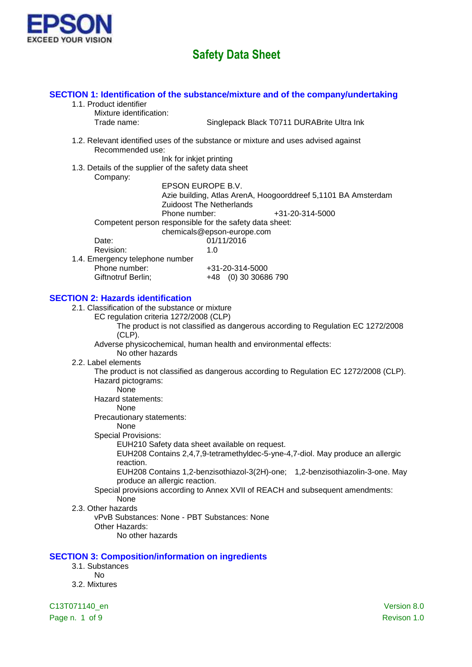

#### 1.1. Product identifier Mixture identification: Trade name: Singlepack Black T0711 DURABrite Ultra Ink 1.2. Relevant identified uses of the substance or mixture and uses advised against Recommended use: Ink for inkjet printing 1.3. Details of the supplier of the safety data sheet Company: EPSON EUROPE B.V. Azie building, Atlas ArenA, Hoogoorddreef 5,1101 BA Amsterdam Zuidoost The Netherlands

**SECTION 1: Identification of the substance/mixture and of the company/undertaking**

Phone number:  $+31-20-314-5000$ Competent person responsible for the safety data sheet: chemicals@epson-europe.com Date: 01/11/2016 Revision: 1.0 1.4. Emergency telephone number Phone number: +31-20-314-5000

Giftnotruf Berlin; +48 (0) 30 30686 790

#### **SECTION 2: Hazards identification**

- 2.1. Classification of the substance or mixture
	- EC regulation criteria 1272/2008 (CLP)

The product is not classified as dangerous according to Regulation EC 1272/2008 (CLP).

Adverse physicochemical, human health and environmental effects:

No other hazards

2.2. Label elements

The product is not classified as dangerous according to Regulation EC 1272/2008 (CLP). Hazard pictograms:

None Hazard statements:

None

Precautionary statements:

#### None

Special Provisions:

EUH210 Safety data sheet available on request.

EUH208 Contains 2,4,7,9-tetramethyldec-5-yne-4,7-diol. May produce an allergic reaction.

EUH208 Contains 1,2-benzisothiazol-3(2H)-one; 1,2-benzisothiazolin-3-one. May produce an allergic reaction.

#### Special provisions according to Annex XVII of REACH and subsequent amendments: None

2.3. Other hazards

vPvB Substances: None - PBT Substances: None Other Hazards: No other hazards

#### **SECTION 3: Composition/information on ingredients**

- 3.1. Substances
	- No
- 3.2. Mixtures

C13T071140\_en Version 8.0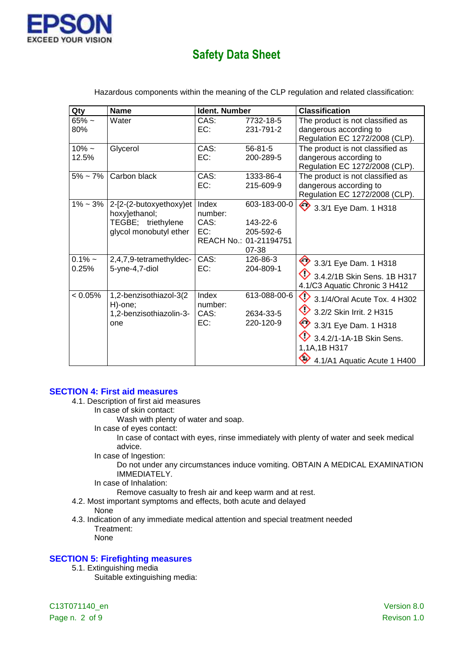

| Qty                | <b>Name</b>                                                                              | Ident. Number                   |                                                                          | <b>Classification</b>                                                                                                                                                            |
|--------------------|------------------------------------------------------------------------------------------|---------------------------------|--------------------------------------------------------------------------|----------------------------------------------------------------------------------------------------------------------------------------------------------------------------------|
| $65% -$<br>80%     | Water                                                                                    | CAS:<br>EC:                     | 7732-18-5<br>231-791-2                                                   | The product is not classified as<br>dangerous according to<br>Regulation EC 1272/2008 (CLP).                                                                                     |
| $10\% -$<br>12.5%  | Glycerol                                                                                 | CAS:<br>EC:                     | $56 - 81 - 5$<br>200-289-5                                               | The product is not classified as<br>dangerous according to<br>Regulation EC 1272/2008 (CLP).                                                                                     |
|                    | $5\%$ ~ 7% Carbon black                                                                  | CAS:<br>EC:                     | 1333-86-4<br>215-609-9                                                   | The product is not classified as<br>dangerous according to<br>Regulation EC 1272/2008 (CLP).                                                                                     |
| $1\% - 3\%$        | 2-[2-(2-butoxyethoxy)et<br>hoxy]ethanol;<br>TEGBE; triethylene<br>glycol monobutyl ether | Index<br>number:<br>CAS:<br>EC: | 603-183-00-0<br>143-22-6<br>205-592-6<br>REACH No.: 01-21194751<br>07-38 | ♦<br>3.3/1 Eye Dam. 1 H318                                                                                                                                                       |
| $0.1\%$ ~<br>0.25% | 2,4,7,9-tetramethyldec-<br>5-yne-4,7-diol                                                | CAS:<br>EC:                     | 126-86-3<br>204-809-1                                                    | 3.3/1 Eye Dam. 1 H318<br>3.4.2/1B Skin Sens, 1B H317<br>4.1/C3 Aquatic Chronic 3 H412                                                                                            |
| $< 0.05\%$         | 1,2-benzisothiazol-3(2<br>H)-one;<br>1,2-benzisothiazolin-3-<br>one                      | Index<br>number:<br>CAS:<br>EC: | 613-088-00-6<br>2634-33-5<br>220-120-9                                   | ◇<br>3.1/4/Oral Acute Tox. 4 H302<br>◇<br>3.2/2 Skin Irrit. 2 H315<br>♦<br>3.3/1 Eye Dam. 1 H318<br>3.4.2/1-1A-1B Skin Sens.<br>1,1A,1B H317<br>♦<br>4.1/A1 Aquatic Acute 1 H400 |

Hazardous components within the meaning of the CLP regulation and related classification:

#### **SECTION 4: First aid measures**

- 4.1. Description of first aid measures
	- In case of skin contact:
		- Wash with plenty of water and soap.
	- In case of eyes contact:

In case of contact with eyes, rinse immediately with plenty of water and seek medical advice.

In case of Ingestion:

Do not under any circumstances induce vomiting. OBTAIN A MEDICAL EXAMINATION IMMEDIATELY.

In case of Inhalation:

Remove casualty to fresh air and keep warm and at rest.

- 4.2. Most important symptoms and effects, both acute and delayed
- None
- 4.3. Indication of any immediate medical attention and special treatment needed Treatment:
	- None

### **SECTION 5: Firefighting measures**

- 5.1. Extinguishing media
	- Suitable extinguishing media:

C13T071140\_en Version 8.0 Page n. 2 of 9 Revison 1.0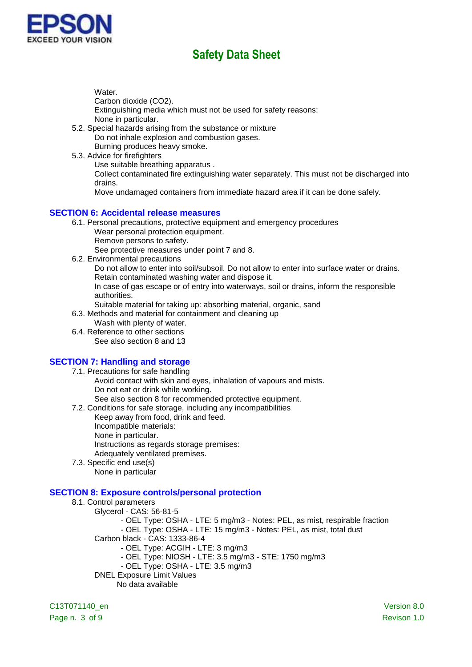

Water.

Carbon dioxide (CO2).

Extinguishing media which must not be used for safety reasons: None in particular.

- 5.2. Special hazards arising from the substance or mixture Do not inhale explosion and combustion gases. Burning produces heavy smoke.
- 5.3. Advice for firefighters

Use suitable breathing apparatus .

Collect contaminated fire extinguishing water separately. This must not be discharged into drains.

Move undamaged containers from immediate hazard area if it can be done safely.

#### **SECTION 6: Accidental release measures**

- 6.1. Personal precautions, protective equipment and emergency procedures
	- Wear personal protection equipment.
	- Remove persons to safety.

See protective measures under point 7 and 8.

6.2. Environmental precautions

Do not allow to enter into soil/subsoil. Do not allow to enter into surface water or drains. Retain contaminated washing water and dispose it.

In case of gas escape or of entry into waterways, soil or drains, inform the responsible authorities.

Suitable material for taking up: absorbing material, organic, sand

6.3. Methods and material for containment and cleaning up

- Wash with plenty of water.
- 6.4. Reference to other sections See also section 8 and 13

### **SECTION 7: Handling and storage**

- 7.1. Precautions for safe handling Avoid contact with skin and eyes, inhalation of vapours and mists. Do not eat or drink while working. See also section 8 for recommended protective equipment.
- 7.2. Conditions for safe storage, including any incompatibilities
	- Keep away from food, drink and feed.
		- Incompatible materials:
	- None in particular.
	- Instructions as regards storage premises:

Adequately ventilated premises.

7.3. Specific end use(s) None in particular

### **SECTION 8: Exposure controls/personal protection**

#### 8.1. Control parameters

- Glycerol CAS: 56-81-5
	- OEL Type: OSHA LTE: 5 mg/m3 Notes: PEL, as mist, respirable fraction

- OEL Type: OSHA - LTE: 15 mg/m3 - Notes: PEL, as mist, total dust

- Carbon black CAS: 1333-86-4
	- OEL Type: ACGIH LTE: 3 mg/m3
	- OEL Type: NIOSH LTE: 3.5 mg/m3 STE: 1750 mg/m3
	- OEL Type: OSHA LTE: 3.5 mg/m3
- DNEL Exposure Limit Values
	- No data available

C13T071140\_en Version 8.0 Page n. 3 of 9 Revison 1.0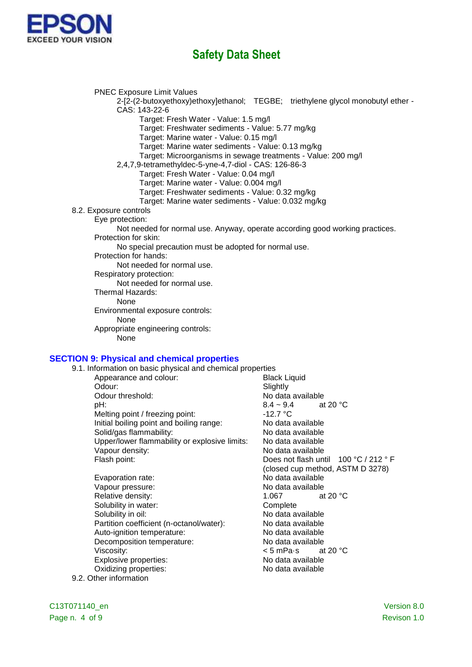

PNEC Exposure Limit Values

- 2-[2-(2-butoxyethoxy)ethoxy]ethanol; TEGBE; triethylene glycol monobutyl ether CAS: 143-22-6
	- Target: Fresh Water Value: 1.5 mg/l
	- Target: Freshwater sediments Value: 5.77 mg/kg
	- Target: Marine water Value: 0.15 mg/l
	- Target: Marine water sediments Value: 0.13 mg/kg
	- Target: Microorganisms in sewage treatments Value: 200 mg/l
- 2,4,7,9-tetramethyldec-5-yne-4,7-diol CAS: 126-86-3
	- Target: Fresh Water Value: 0.04 mg/l
	- Target: Marine water Value: 0.004 mg/l
	- Target: Freshwater sediments Value: 0.32 mg/kg
	- Target: Marine water sediments Value: 0.032 mg/kg
- 8.2. Exposure controls
	- Eye protection:
		- Not needed for normal use. Anyway, operate according good working practices. Protection for skin:
			- No special precaution must be adopted for normal use.
		- Protection for hands:

Not needed for normal use.

Respiratory protection:

Not needed for normal use.

- Thermal Hazards:
	- None

Environmental exposure controls:

None

Appropriate engineering controls:

None

#### **SECTION 9: Physical and chemical properties**

- 9.1. Information on basic physical and chemical properties
	- Appearance and colour: Black Liquid Odour: Slightly Solidary Solidary<br>
	Odour threshold: Solidary Solidary Solidary No data No data available  $B = 8.4 \times 9.4$  at 20 °C Melting point / freezing point:  $\blacksquare$  -12.7 °C<br>
	Initial boiling point and boiling range: No data available Initial boiling point and boiling range: Solid/gas flammability: No data available Upper/lower flammability or explosive limits: No data available Vapour density: No data available Flash point: The Contract of the Does not flash until 100 °C / 212 ° F (closed cup method, ASTM D 3278) Evaporation rate: No data available Vapour pressure: No data available Relative density: 1.067 at 20 °C Solubility in water: Complete Solubility in oil: No data available Partition coefficient (n-octanol/water): No data available Auto-ignition temperature: No data available Decomposition temperature: No data available Viscosity:  $\lt$  5 mPa·s at 20 °C Explosive properties: No data available
	- Oxidizing properties: No data available
- 9.2. Other information

Page n. 4 of 9 Revison 1.0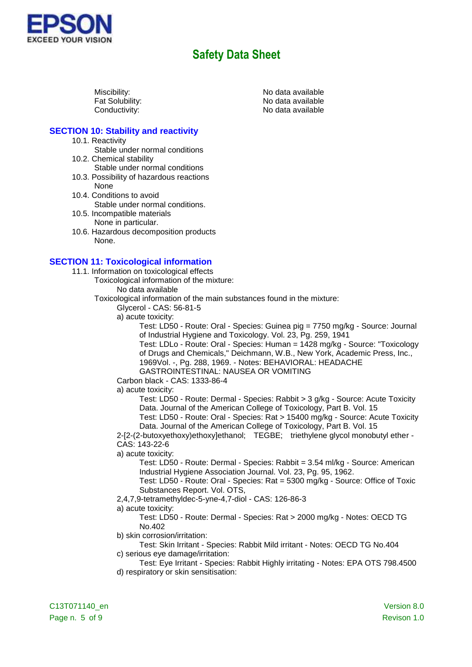

Miscibility:<br>
Fat Solubility:<br>
Fat Solubility: Contract Contract Contract Contract No data available No data available Conductivity: Conductivity:

### **SECTION 10: Stability and reactivity**

- 10.1. Reactivity
	- Stable under normal conditions
- 10.2. Chemical stability
- Stable under normal conditions 10.3. Possibility of hazardous reactions
- None 10.4. Conditions to avoid
	- Stable under normal conditions.
- 10.5. Incompatible materials None in particular.
- 10.6. Hazardous decomposition products None.

#### **SECTION 11: Toxicological information**

- 11.1. Information on toxicological effects
	- Toxicological information of the mixture:

No data available

- Toxicological information of the main substances found in the mixture:
	- Glycerol CAS: 56-81-5
	- a) acute toxicity:

Test: LD50 - Route: Oral - Species: Guinea pig = 7750 mg/kg - Source: Journal of Industrial Hygiene and Toxicology. Vol. 23, Pg. 259, 1941

Test: LDLo - Route: Oral - Species: Human = 1428 mg/kg - Source: "Toxicology of Drugs and Chemicals," Deichmann, W.B., New York, Academic Press, Inc., 1969Vol. -, Pg. 288, 1969. - Notes: BEHAVIORAL: HEADACHE GASTROINTESTINAL: NAUSEA OR VOMITING

Carbon black - CAS: 1333-86-4

a) acute toxicity:

Test: LD50 - Route: Dermal - Species: Rabbit > 3 g/kg - Source: Acute Toxicity Data. Journal of the American College of Toxicology, Part B. Vol. 15 Test: LD50 - Route: Oral - Species: Rat > 15400 mg/kg - Source: Acute Toxicity

Data. Journal of the American College of Toxicology, Part B. Vol. 15

2-[2-(2-butoxyethoxy)ethoxy]ethanol; TEGBE; triethylene glycol monobutyl ether - CAS: 143-22-6

a) acute toxicity:

Test: LD50 - Route: Dermal - Species: Rabbit = 3.54 ml/kg - Source: American Industrial Hygiene Association Journal. Vol. 23, Pg. 95, 1962.

Test: LD50 - Route: Oral - Species: Rat = 5300 mg/kg - Source: Office of Toxic Substances Report. Vol. OTS,

2,4,7,9-tetramethyldec-5-yne-4,7-diol - CAS: 126-86-3

a) acute toxicity:

Test: LD50 - Route: Dermal - Species: Rat > 2000 mg/kg - Notes: OECD TG No.402

b) skin corrosion/irritation:

Test: Skin Irritant - Species: Rabbit Mild irritant - Notes: OECD TG No.404 c) serious eye damage/irritation:

Test: Eye Irritant - Species: Rabbit Highly irritating - Notes: EPA OTS 798.4500 d) respiratory or skin sensitisation: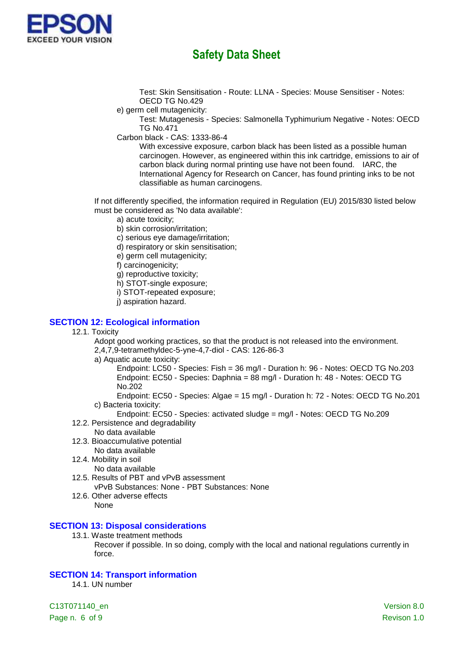

Test: Skin Sensitisation - Route: LLNA - Species: Mouse Sensitiser - Notes: OECD TG No.429

e) germ cell mutagenicity:

Test: Mutagenesis - Species: Salmonella Typhimurium Negative - Notes: OECD TG No.471

Carbon black - CAS: 1333-86-4

With excessive exposure, carbon black has been listed as a possible human carcinogen. However, as engineered within this ink cartridge, emissions to air of carbon black during normal printing use have not been found. IARC, the International Agency for Research on Cancer, has found printing inks to be not classifiable as human carcinogens.

If not differently specified, the information required in Regulation (EU) 2015/830 listed below must be considered as 'No data available':

- a) acute toxicity;
- b) skin corrosion/irritation;
- c) serious eye damage/irritation;
- d) respiratory or skin sensitisation;
- e) germ cell mutagenicity;
- f) carcinogenicity;
- g) reproductive toxicity;
- h) STOT-single exposure;
- i) STOT-repeated exposure;
- j) aspiration hazard.

#### **SECTION 12: Ecological information**

12.1. Toxicity

Adopt good working practices, so that the product is not released into the environment. 2,4,7,9-tetramethyldec-5-yne-4,7-diol - CAS: 126-86-3

a) Aquatic acute toxicity:

Endpoint: LC50 - Species: Fish = 36 mg/l - Duration h: 96 - Notes: OECD TG No.203 Endpoint: EC50 - Species: Daphnia = 88 mg/l - Duration h: 48 - Notes: OECD TG No.202

Endpoint: EC50 - Species: Algae = 15 mg/l - Duration h: 72 - Notes: OECD TG No.201 c) Bacteria toxicity:

Endpoint: EC50 - Species: activated sludge = mg/l - Notes: OECD TG No.209

- 12.2. Persistence and degradability
	- No data available
- 12.3. Bioaccumulative potential
- No data available 12.4. Mobility in soil
	- No data available
- 12.5. Results of PBT and vPvB assessment
	- vPvB Substances: None PBT Substances: None
- 12.6. Other adverse effects
	- None

#### **SECTION 13: Disposal considerations**

- 13.1. Waste treatment methods
	- Recover if possible. In so doing, comply with the local and national regulations currently in force.

### **SECTION 14: Transport information**

14.1. UN number

C13T071140\_en Version 8.0 Page n. 6 of 9 Revison 1.0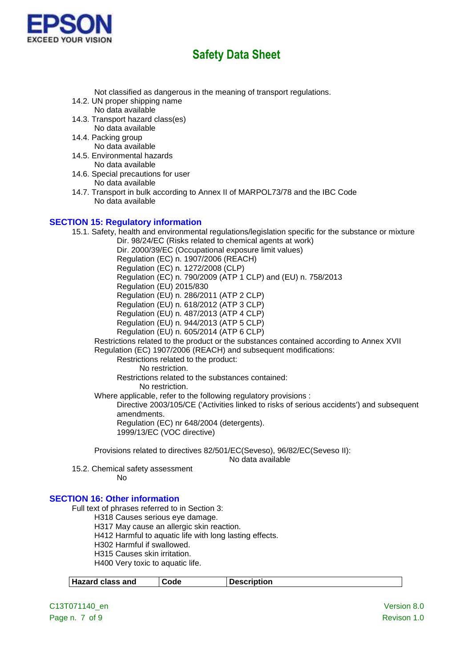

Not classified as dangerous in the meaning of transport regulations.

- 14.2. UN proper shipping name No data available
- 14.3. Transport hazard class(es) No data available
- 14.4. Packing group No data available
- 14.5. Environmental hazards No data available
- 14.6. Special precautions for user No data available
- 14.7. Transport in bulk according to Annex II of MARPOL73/78 and the IBC Code No data available

#### **SECTION 15: Regulatory information**

15.1. Safety, health and environmental regulations/legislation specific for the substance or mixture Dir. 98/24/EC (Risks related to chemical agents at work) Dir. 2000/39/EC (Occupational exposure limit values) Regulation (EC) n. 1907/2006 (REACH) Regulation (EC) n. 1272/2008 (CLP) Regulation (EC) n. 790/2009 (ATP 1 CLP) and (EU) n. 758/2013 Regulation (EU) 2015/830 Regulation (EU) n. 286/2011 (ATP 2 CLP) Regulation (EU) n. 618/2012 (ATP 3 CLP) Regulation (EU) n. 487/2013 (ATP 4 CLP) Regulation (EU) n. 944/2013 (ATP 5 CLP) Regulation (EU) n. 605/2014 (ATP 6 CLP) Restrictions related to the product or the substances contained according to Annex XVII Regulation (EC) 1907/2006 (REACH) and subsequent modifications: Restrictions related to the product: No restriction. Restrictions related to the substances contained: No restriction. Where applicable, refer to the following regulatory provisions : Directive 2003/105/CE ('Activities linked to risks of serious accidents') and subsequent amendments. Regulation (EC) nr 648/2004 (detergents). 1999/13/EC (VOC directive)

Provisions related to directives 82/501/EC(Seveso), 96/82/EC(Seveso II):

No data available

15.2. Chemical safety assessment

No

#### **SECTION 16: Other information**

Full text of phrases referred to in Section 3:

H318 Causes serious eye damage.

H317 May cause an allergic skin reaction.

H412 Harmful to aquatic life with long lasting effects.

H302 Harmful if swallowed.

H315 Causes skin irritation.

H400 Very toxic to aquatic life.

| <b>Hazard class and</b><br><b>Description</b><br>Code |
|-------------------------------------------------------|
|-------------------------------------------------------|

C13T071140\_en Version 8.0 Page n. 7 of 9 Revison 1.0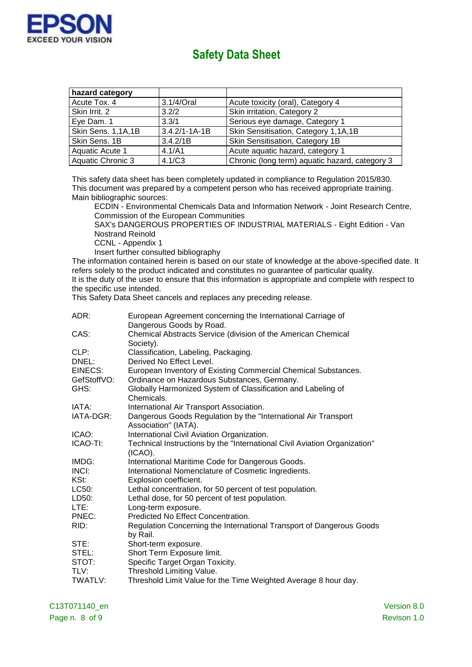

| hazard category    |                     |                                                |
|--------------------|---------------------|------------------------------------------------|
| Acute Tox. 4       | 3.1/4/Oral          | Acute toxicity (oral), Category 4              |
| Skin Irrit. 2      | 3.2/2               | Skin irritation, Category 2                    |
| Eye Dam. 1         | 3.3/1               | Serious eye damage, Category 1                 |
| Skin Sens. 1,1A,1B | $3.4.2/1 - 1A - 1B$ | Skin Sensitisation, Category 1,1A,1B           |
| Skin Sens. 1B      | 3.4.2/1B            | Skin Sensitisation, Category 1B                |
| Aquatic Acute 1    | 4.1/A1              | Acute aquatic hazard, category 1               |
| Aquatic Chronic 3  | 4.1/C3              | Chronic (long term) aquatic hazard, category 3 |

This safety data sheet has been completely updated in compliance to Regulation 2015/830. This document was prepared by a competent person who has received appropriate training. Main bibliographic sources:

ECDIN - Environmental Chemicals Data and Information Network - Joint Research Centre, Commission of the European Communities

SAX's DANGEROUS PROPERTIES OF INDUSTRIAL MATERIALS - Eight Edition - Van Nostrand Reinold

CCNL - Appendix 1

Insert further consulted bibliography

The information contained herein is based on our state of knowledge at the above-specified date. It refers solely to the product indicated and constitutes no guarantee of particular quality. It is the duty of the user to ensure that this information is appropriate and complete with respect to the specific use intended.

This Safety Data Sheet cancels and replaces any preceding release.

| ADR:           | European Agreement concerning the International Carriage of                             |
|----------------|-----------------------------------------------------------------------------------------|
|                | Dangerous Goods by Road.                                                                |
| CAS:           | Chemical Abstracts Service (division of the American Chemical<br>Society).              |
| CLP:           | Classification, Labeling, Packaging.                                                    |
| DNEL:          | Derived No Effect Level.                                                                |
| EINECS:        | European Inventory of Existing Commercial Chemical Substances.                          |
| GefStoffVO:    | Ordinance on Hazardous Substances, Germany.                                             |
| GHS:           | Globally Harmonized System of Classification and Labeling of<br>Chemicals.              |
| IATA:          | International Air Transport Association.                                                |
| IATA-DGR:      | Dangerous Goods Regulation by the "International Air Transport<br>Association" (IATA).  |
| ICAO:          | International Civil Aviation Organization.                                              |
| ICAO-TI:       | Technical Instructions by the "International Civil Aviation Organization"<br>$(ICAO)$ . |
| IMDG:          | International Maritime Code for Dangerous Goods.                                        |
| INCI:          | International Nomenclature of Cosmetic Ingredients.                                     |
| KSt:           | Explosion coefficient.                                                                  |
| LC50:          | Lethal concentration, for 50 percent of test population.                                |
| LD50:          | Lethal dose, for 50 percent of test population.                                         |
| LTE:           | Long-term exposure.                                                                     |
| PNEC:          | Predicted No Effect Concentration.                                                      |
| RID:           | Regulation Concerning the International Transport of Dangerous Goods<br>by Rail.        |
| STE:           | Short-term exposure.                                                                    |
| STEL:          | Short Term Exposure limit.                                                              |
| STOT:          | Specific Target Organ Toxicity.                                                         |
| TLV:           | Threshold Limiting Value.                                                               |
| <b>TWATLV:</b> | Threshold Limit Value for the Time Weighted Average 8 hour day.                         |

C13T071140\_en Version 8.0 Page n. 8 of 9 Revison 1.0